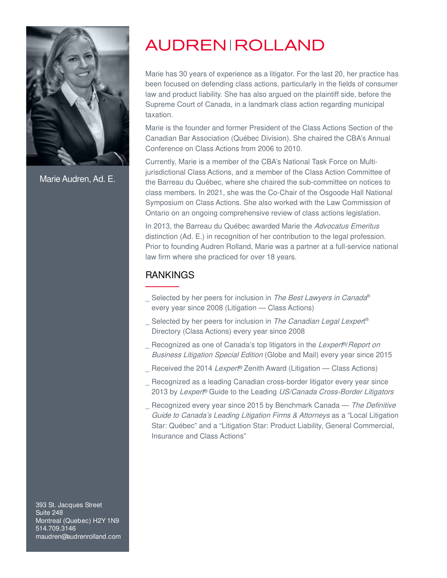

Marie Audren, Ad. E.

Marie has 30 years of experience as a litigator. For the last 20, her practice has been focused on defending class actions, particularly in the fields of consumer law and product liability. She has also argued on the plaintiff side, before the Supreme Court of Canada, in a landmark class action regarding municipal taxation.

Marie is the founder and former President of the Class Actions Section of the Canadian Bar Association (Québec Division). She chaired the CBA's Annual Conference on Class Actions from 2006 to 2010.

Currently, Marie is a member of the CBA's National Task Force on Multijurisdictional Class Actions, and a member of the Class Action Committee of the Barreau du Québec, where she chaired the sub-committee on notices to class members. In 2021, she was the Co-Chair of the Osgoode Hall National Symposium on Class Actions. She also worked with the Law Commission of Ontario on an ongoing comprehensive review of class actions legislation.

In 2013, the Barreau du Québec awarded Marie the Advocatus Emeritus distinction (Ad. E.) in recognition of her contribution to the legal profession. Prior to founding Audren Rolland, Marie was a partner at a full-service national law firm where she practiced for over 18 years.

### RANKINGS

- \_ Selected by her peers for inclusion in *The Best Lawyers in Canada*® every year since 2008 (Litigation — Class Actions)
- \_ Selected by her peers for inclusion in *The Canadian Legal Lexper*t® Directory (Class Actions) every year since 2008
- ∟ Recognized as one of Canada's top litigators in the Lexpert<sup>®</sup>/Report on Business Litigation Special Edition (Globe and Mail) every year since 2015
- ∟ Received the 2014 Lexpert® Zenith Award (Litigation Class Actions)
- \_ Recognized as a leading Canadian cross-border litigator every year since 2013 by Lexpert® Guide to the Leading US/Canada Cross-Border Litigators
- Recognized every year since 2015 by Benchmark Canada The Definitive Guide to Canada's Leading Litigation Firms & Attorneys as a "Local Litigation Star: Québec" and a "Litigation Star: Product Liability, General Commercial, Insurance and Class Actions"

393 St. Jacques Street Suite 248 Montreal (Quebec) H2Y 1N9 514.709.3146 maudren@audrenrolland.com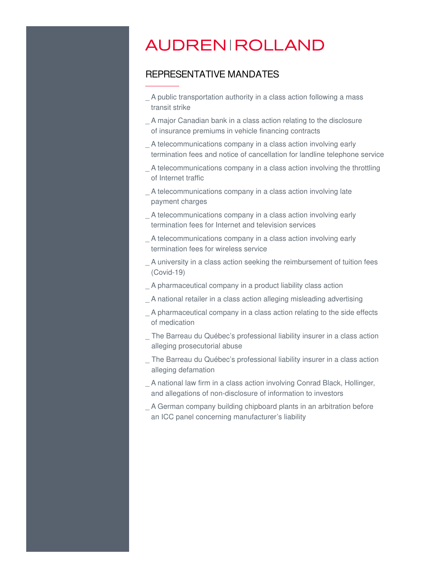#### REPRESENTATIVE MANDATES

- \_ A public transportation authority in a class action following a mass transit strike
- \_ A major Canadian bank in a class action relating to the disclosure of insurance premiums in vehicle financing contracts
- \_ A telecommunications company in a class action involving early termination fees and notice of cancellation for landline telephone service
- \_ A telecommunications company in a class action involving the throttling of Internet traffic
- A telecommunications company in a class action involving late payment charges
- A telecommunications company in a class action involving early termination fees for Internet and television services
- \_ A telecommunications company in a class action involving early termination fees for wireless service
- \_ A university in a class action seeking the reimbursement of tuition fees (Covid-19)
- \_ A pharmaceutical company in a product liability class action
- \_ A national retailer in a class action alleging misleading advertising
- \_ A pharmaceutical company in a class action relating to the side effects of medication
- The Barreau du Québec's professional liability insurer in a class action alleging prosecutorial abuse
- The Barreau du Québec's professional liability insurer in a class action alleging defamation
- \_ A national law firm in a class action involving Conrad Black, Hollinger, and allegations of non-disclosure of information to investors
- \_ A German company building chipboard plants in an arbitration before an ICC panel concerning manufacturer's liability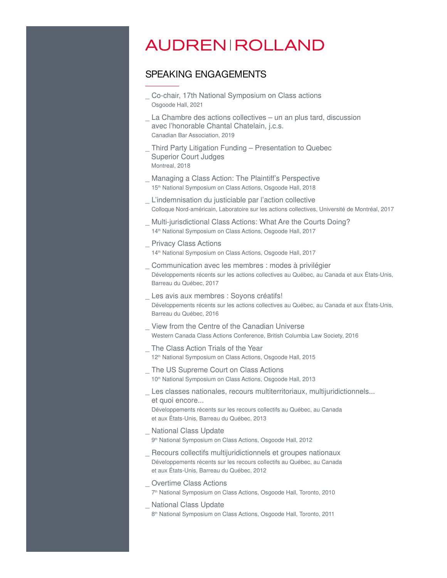#### SPEAKING ENGAGEMENTS

- \_ Co-chair, 17th National Symposium on Class actions Osgoode Hall, 2021
- La Chambre des actions collectives un an plus tard, discussion avec l'honorable Chantal Chatelain, j.c.s. Canadian Bar Association, 2019
- \_ Third Party Litigation Funding Presentation to Quebec Superior Court Judges Montreal, 2018
- Managing a Class Action: The Plaintiff's Perspective 15<sup>th</sup> National Symposium on Class Actions, Osgoode Hall, 2018
- L'indemnisation du justiciable par l'action collective Colloque Nord-américain, Laboratoire sur les actions collectives, Université de Montréal, 2017
- Multi-jurisdictional Class Actions: What Are the Courts Doing? 14<sup>th</sup> National Symposium on Class Actions, Osgoode Hall, 2017
- \_ Privacy Class Actions 14<sup>th</sup> National Symposium on Class Actions, Osgoode Hall, 2017
- \_ Communication avec les membres : modes à privilégier Développements récents sur les actions collectives au Québec, au Canada et aux États-Unis, Barreau du Québec, 2017
- \_ Les avis aux membres : Soyons créatifs! Développements récents sur les actions collectives au Québec, au Canada et aux États-Unis, Barreau du Québec, 2016
- \_ View from the Centre of the Canadian Universe Western Canada Class Actions Conference, British Columbia Law Society, 2016
- The Class Action Trials of the Year 12<sup>th</sup> National Symposium on Class Actions, Osgoode Hall, 2015
- The US Supreme Court on Class Actions 10<sup>th</sup> National Symposium on Class Actions, Osgoode Hall, 2013
- \_ Les classes nationales, recours multiterritoriaux, multijuridictionnels... et quoi encore... Développements récents sur les recours collectifs au Québec, au Canada
	- et aux États-Unis, Barreau du Québec, 2013
- **National Class Update**
- 9 th National Symposium on Class Actions, Osgoode Hall, 2012
- \_ Recours collectifs multijuridictionnels et groupes nationaux Développements récents sur les recours collectifs au Québec, au Canada et aux États-Unis, Barreau du Québec, 2012
- Overtime Class Actions
- 7 th National Symposium on Class Actions, Osgoode Hall, Toronto, 2010
- \_ National Class Update
	- 8 th National Symposium on Class Actions, Osgoode Hall, Toronto, 2011